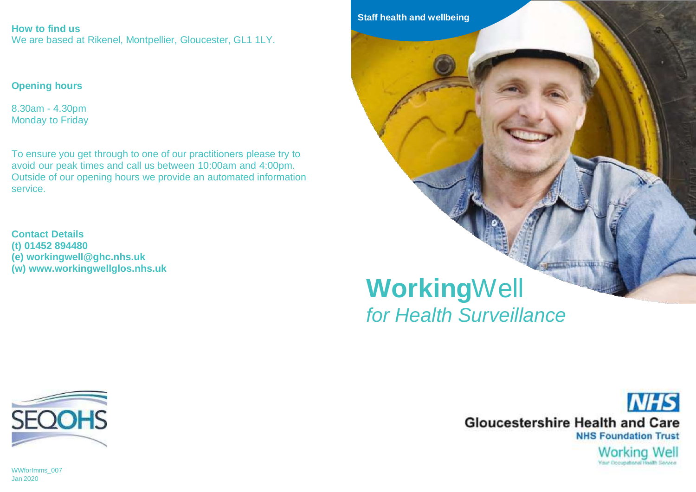**How to find us** We are based at Rikenel, Montpellier, Gloucester, GL1 1LY.

### **Opening hours**

8.30am - 4.30pm Monday to Friday

To ensure you get through to one of our practitioners please try to avoid our peak times and call us between 10:00am and 4:00pm. Outside of our opening hours we provide an automated information service.

**Contact Details (t) 01452 894480 (e) workingwell@ghc.nhs.uk (w) www.workingwellglos.nhs.uk**





**NHS Gloucestershire Health and Care NHS Foundation Trust** Working Well **Visit Decorational Histh Sauces** 

WWforImms\_007 Jan 2020